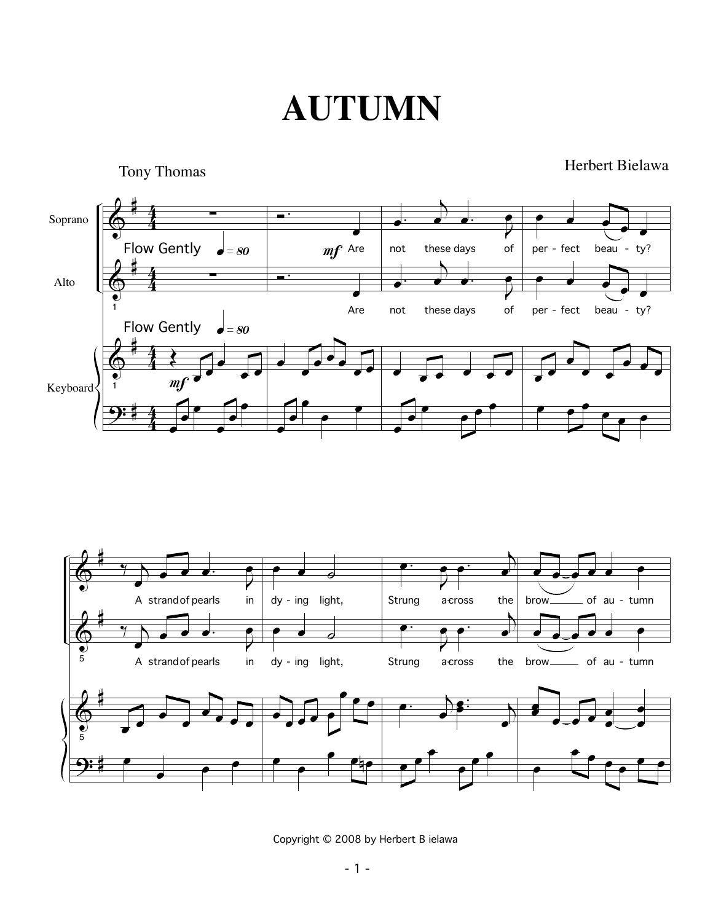### **AUTUMN**





Copyright © 2008 by Herbert B ielawa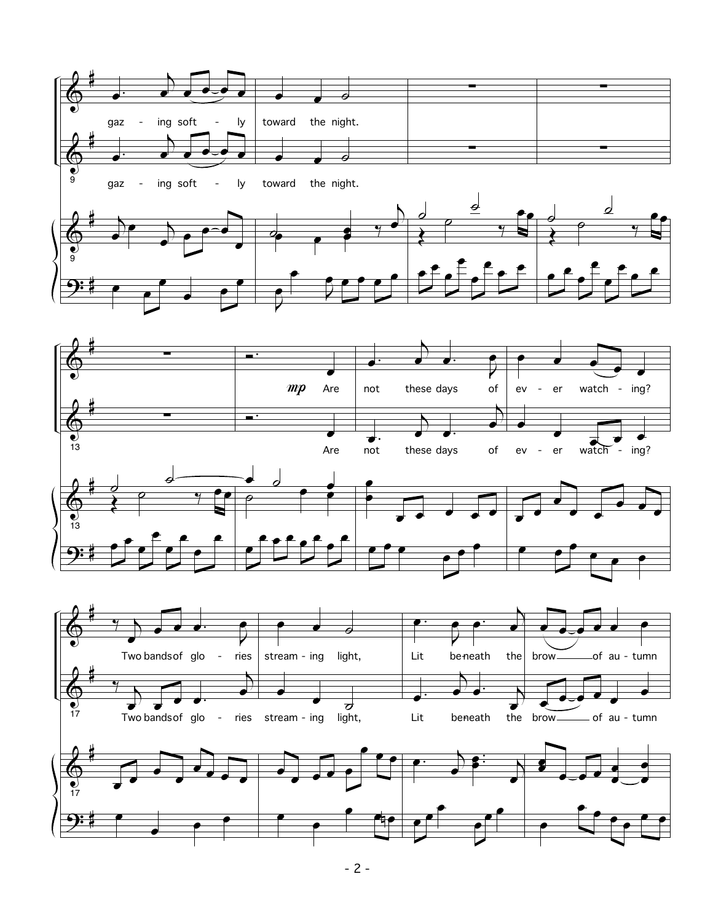









œ œ

<u>9:</u>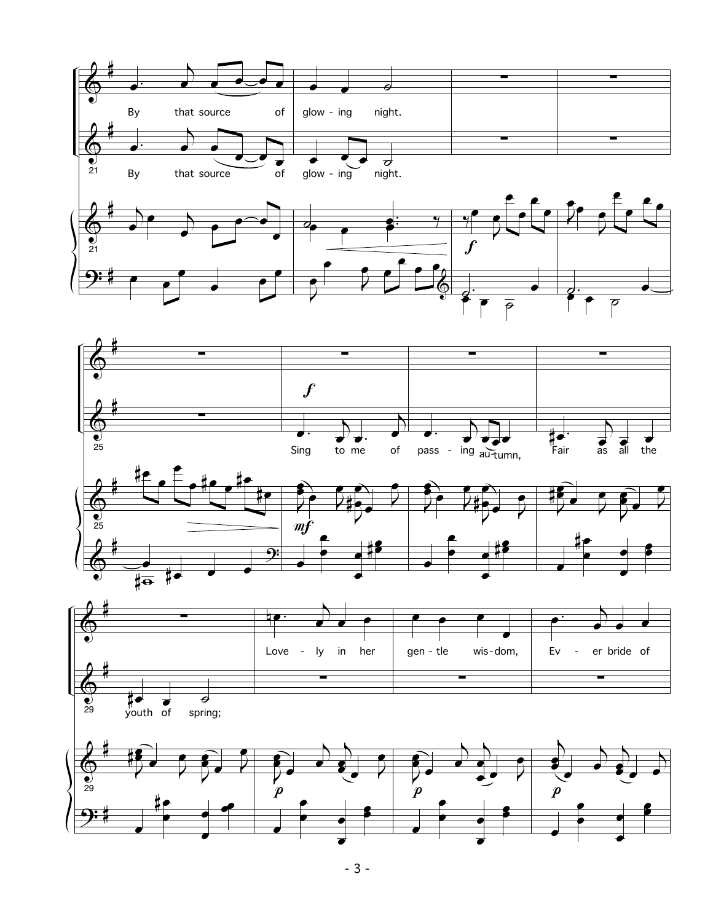





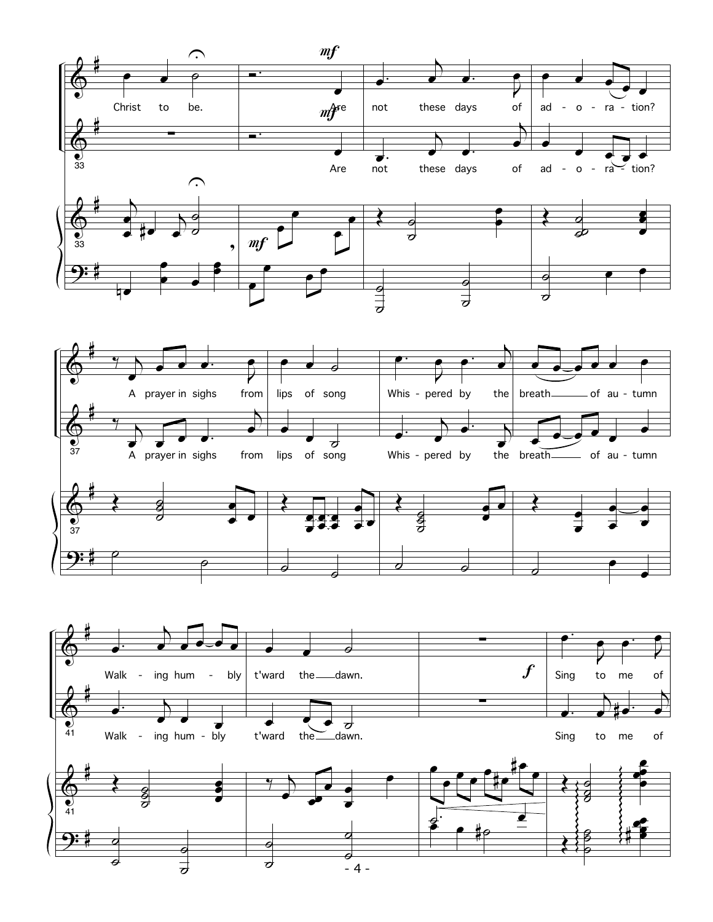



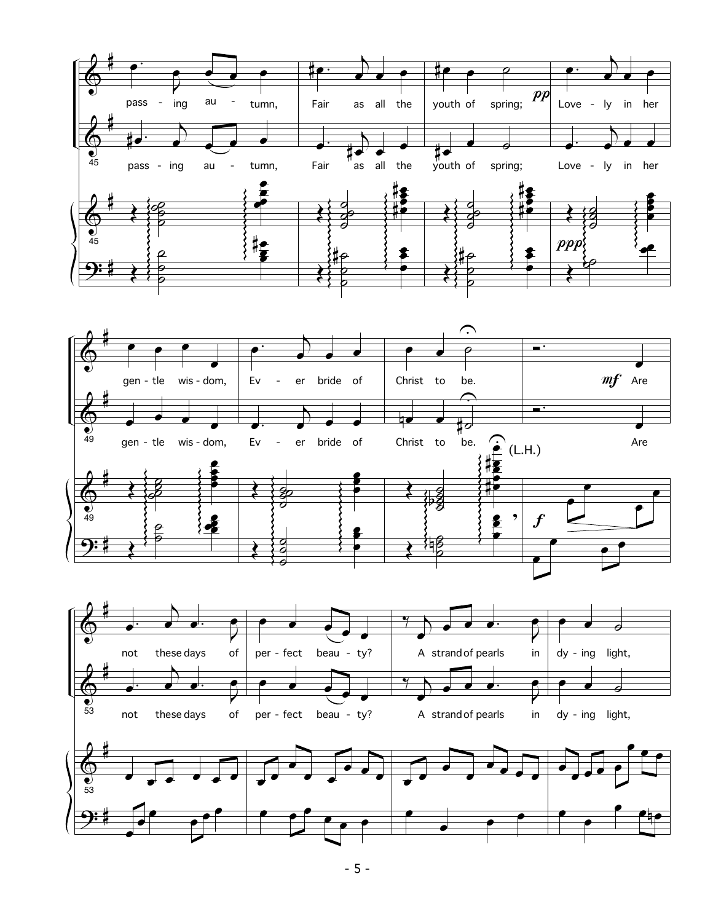





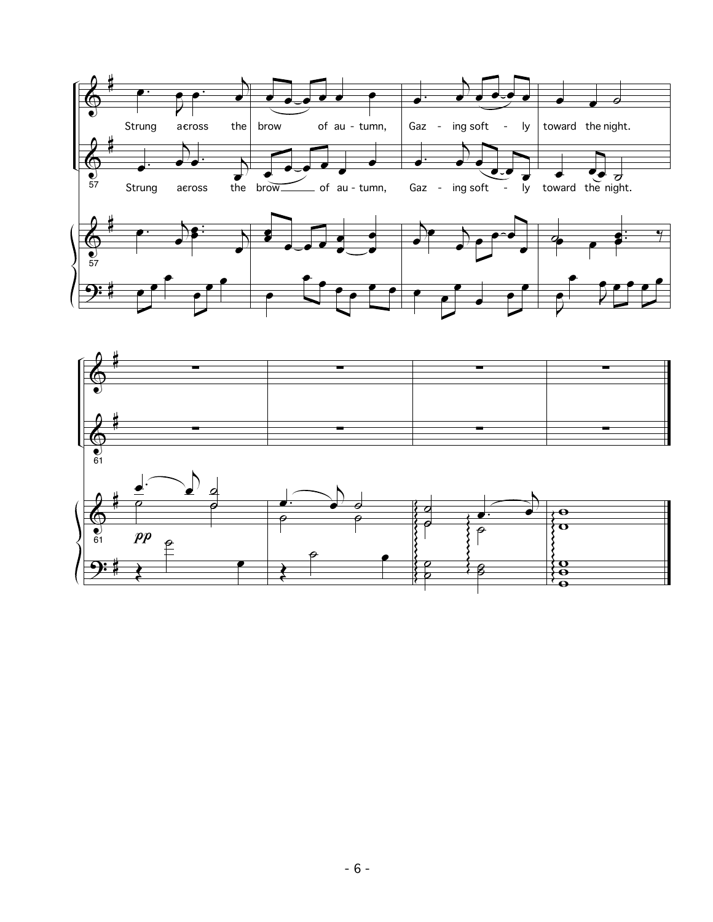

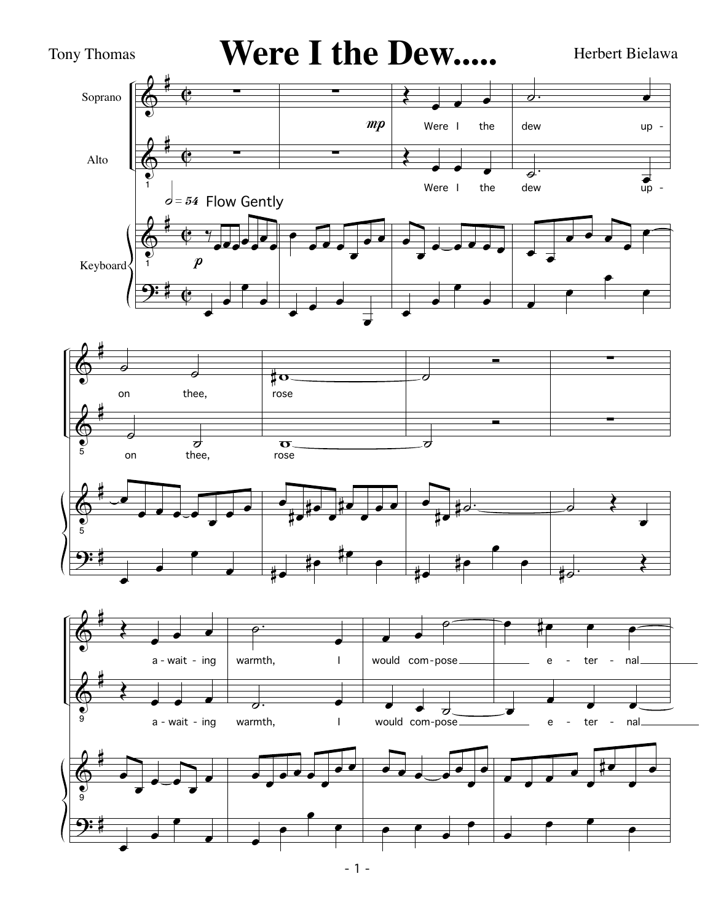

 $-1 -$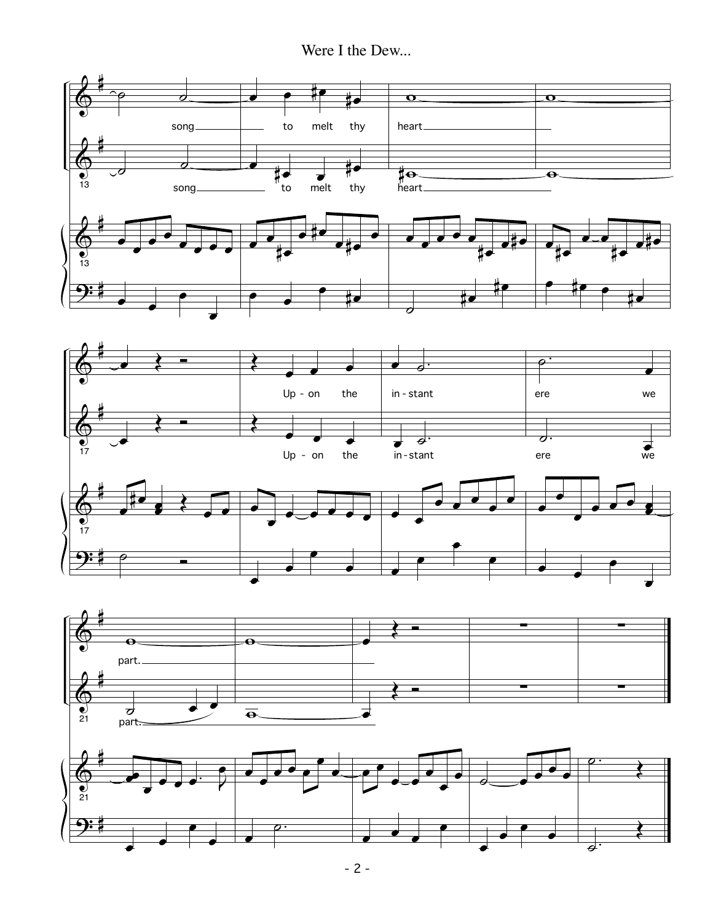Were I the Dew...



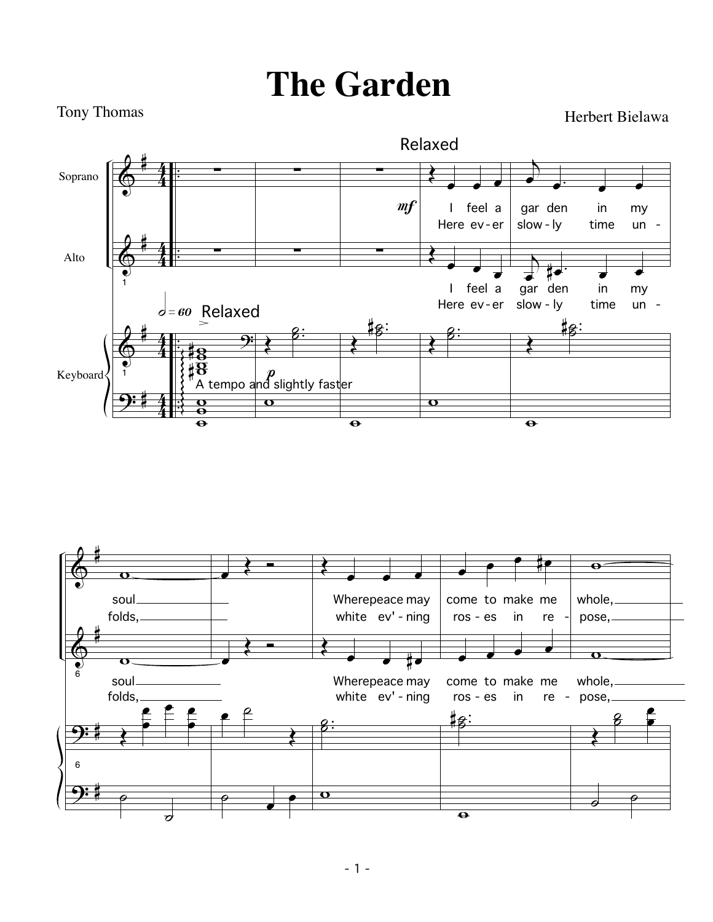# **The Garden**

Tony Thomas **Herbert Bielawa** 



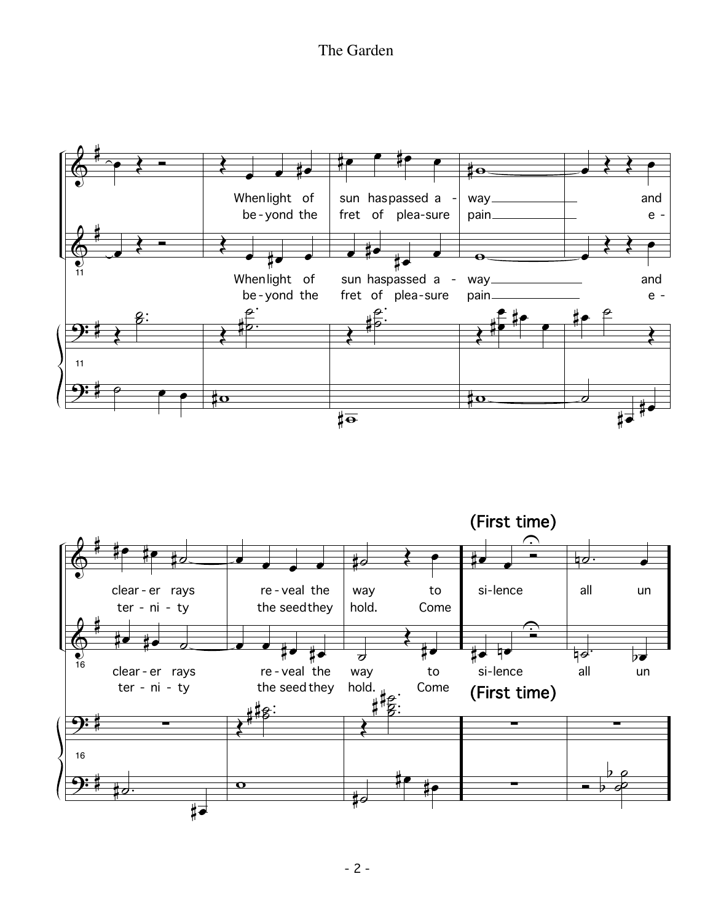The Garden



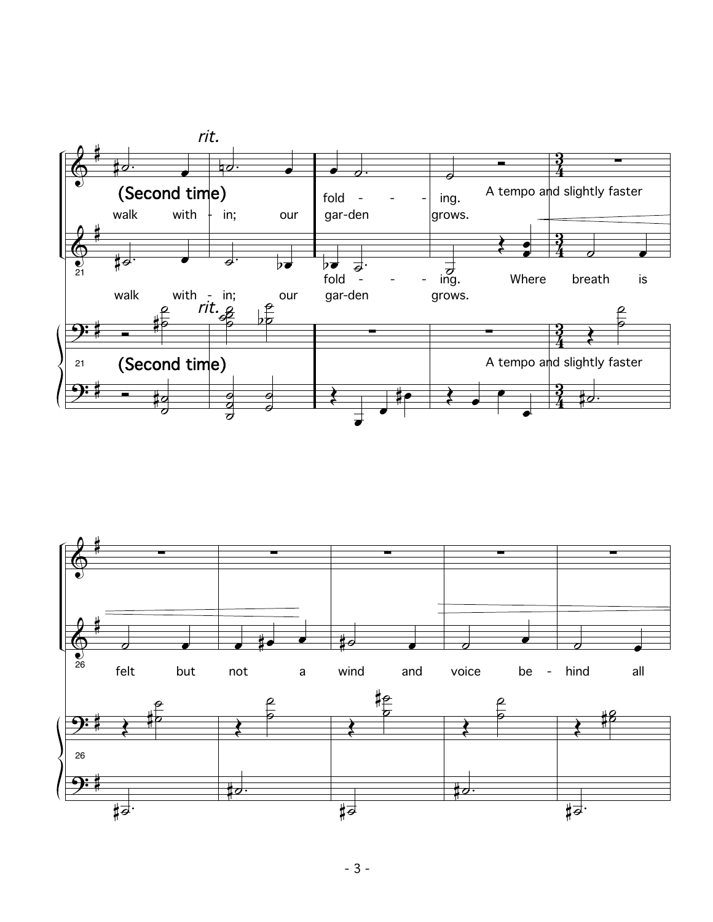

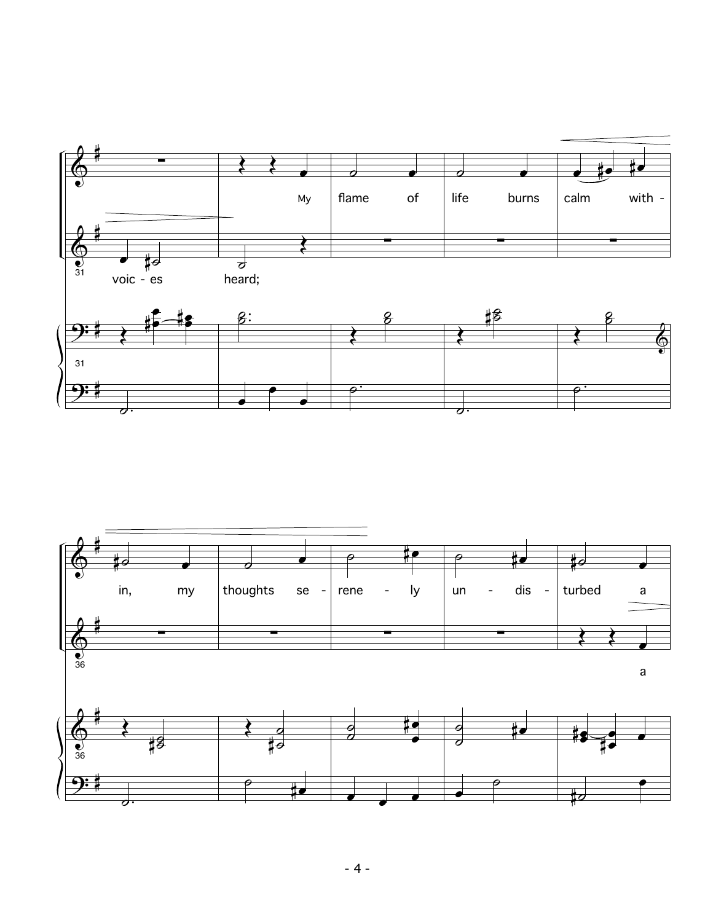

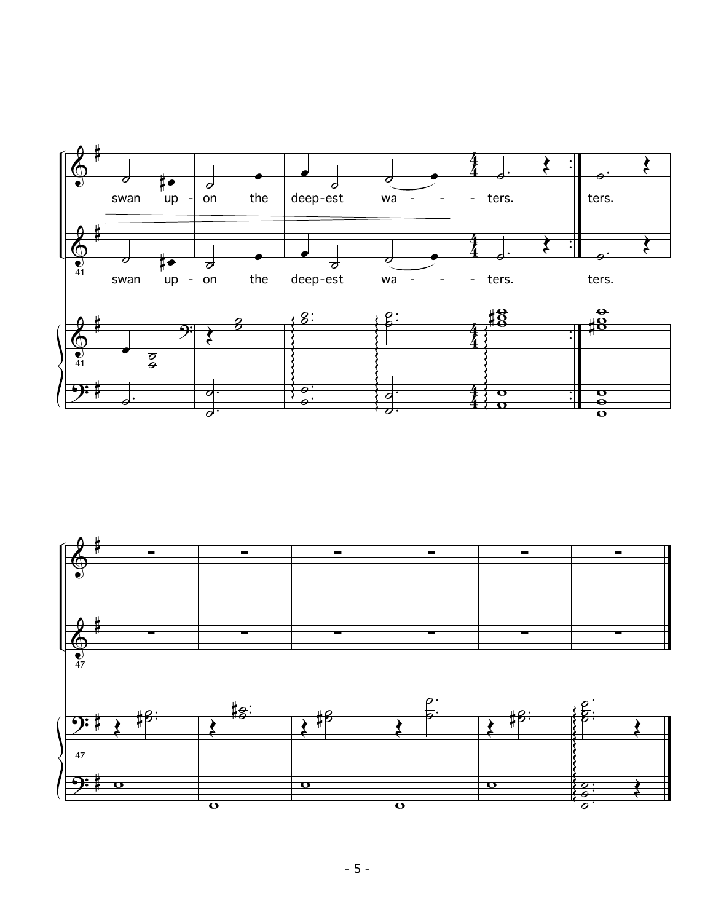

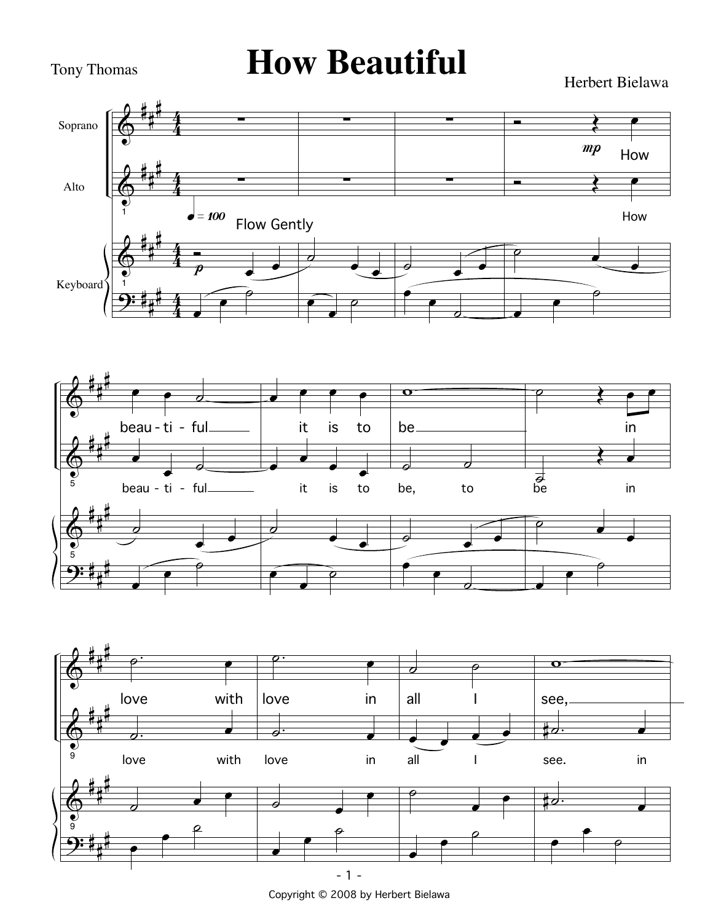## Tony Thomas **How Beautiful**

Herbert Bielawa







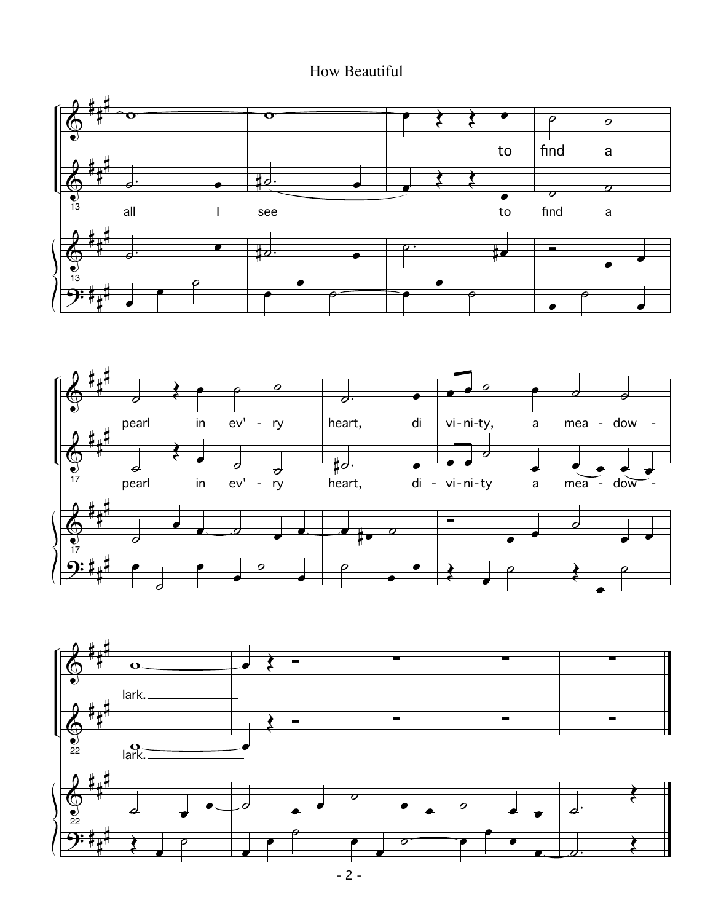### How Beautiful





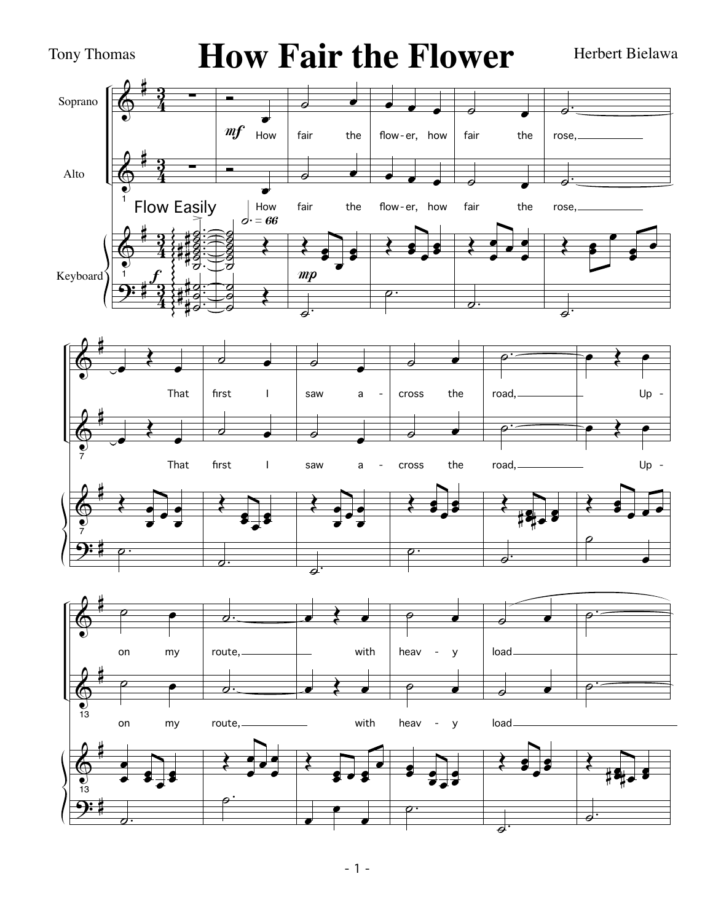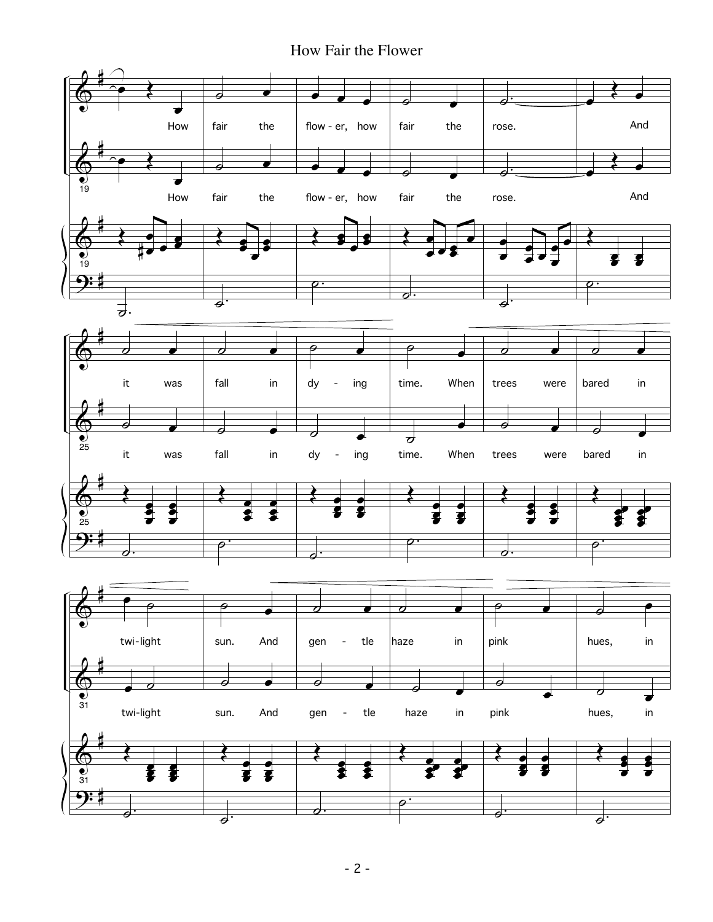How Fair the Flower

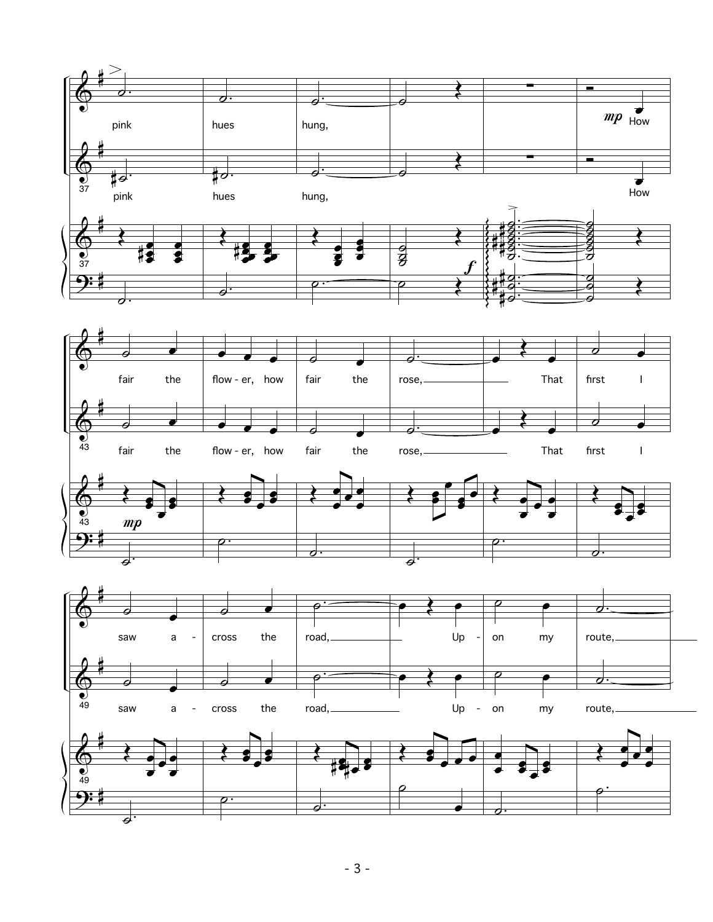



 $\overline{\boldsymbol{z}}$ 



 $\overline{\phantom{a}}$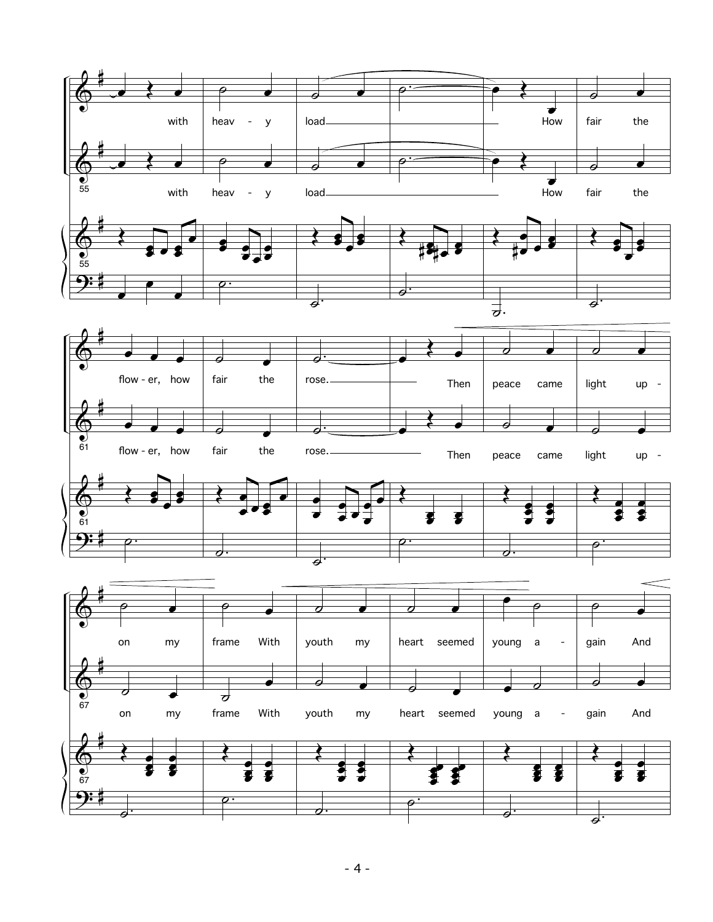



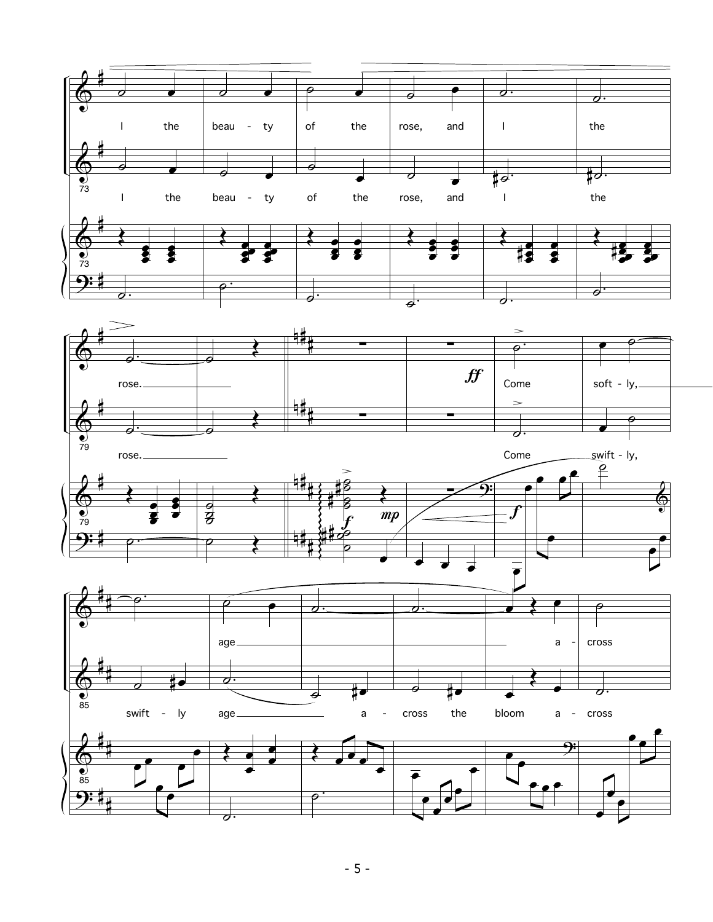![](_page_19_Figure_0.jpeg)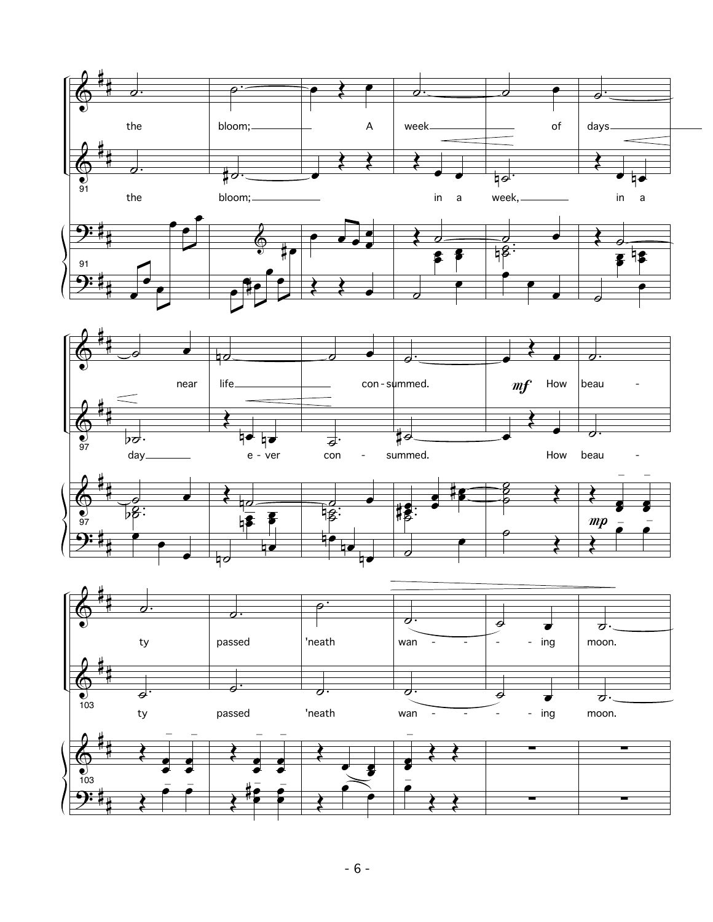![](_page_20_Figure_0.jpeg)

![](_page_20_Figure_1.jpeg)

![](_page_20_Figure_2.jpeg)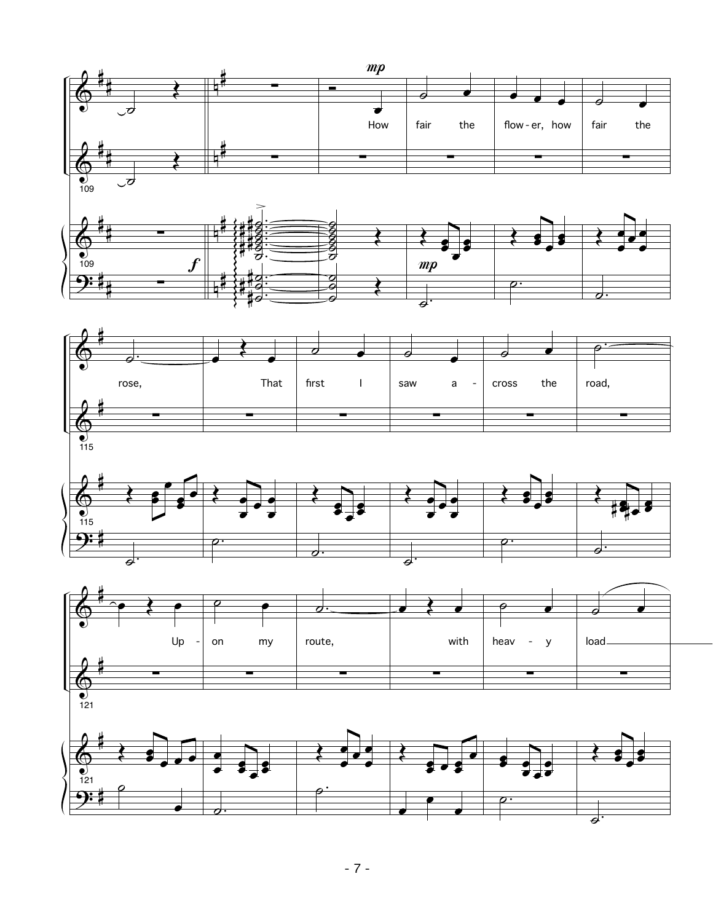![](_page_21_Figure_0.jpeg)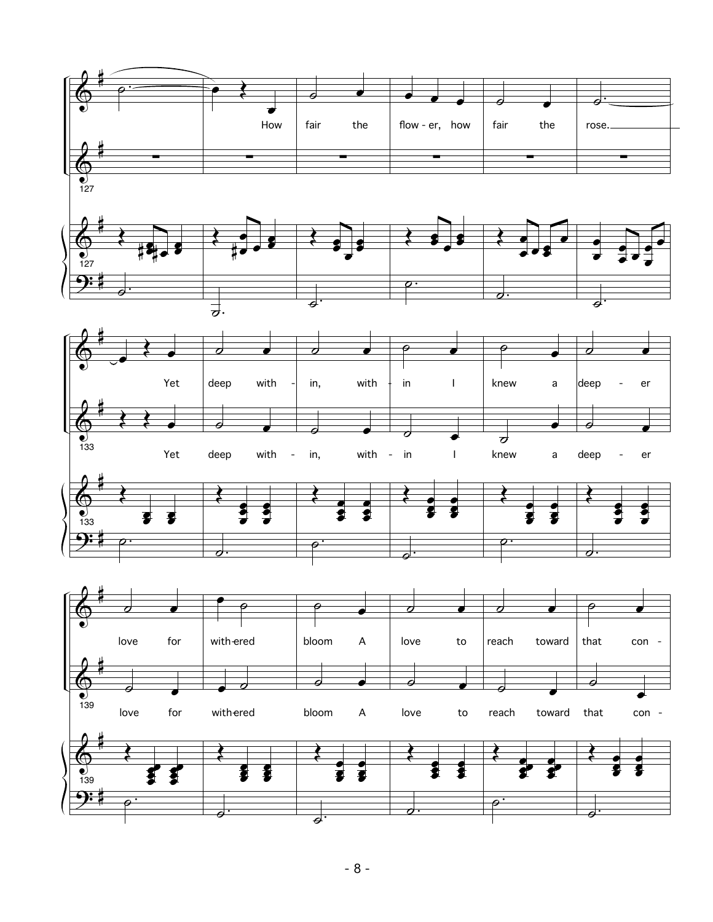![](_page_22_Figure_0.jpeg)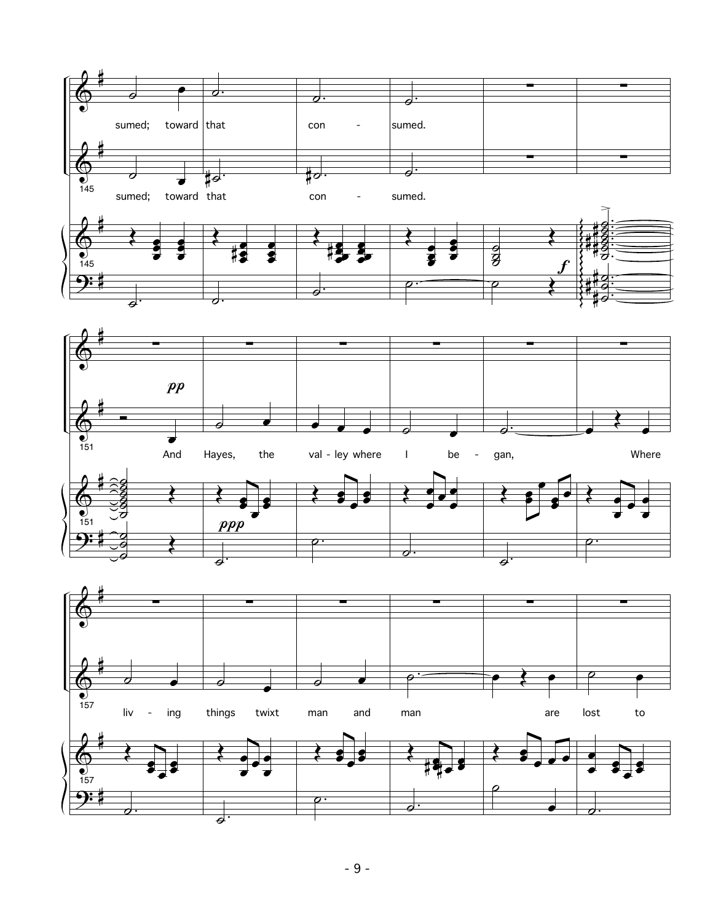![](_page_23_Figure_0.jpeg)

![](_page_23_Figure_1.jpeg)

![](_page_23_Figure_2.jpeg)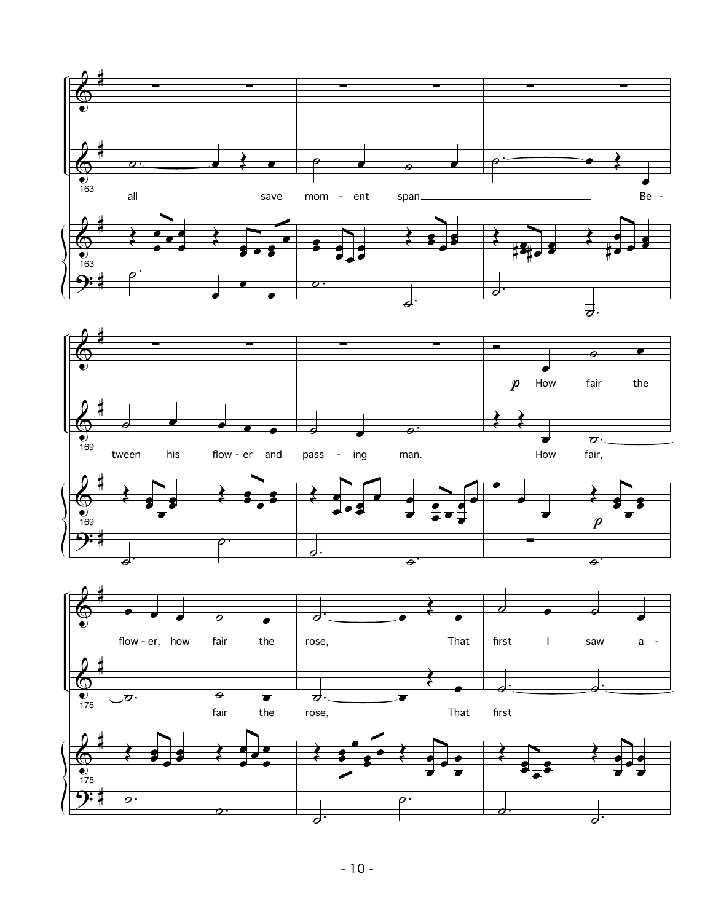![](_page_24_Figure_0.jpeg)

![](_page_24_Figure_1.jpeg)

![](_page_24_Figure_2.jpeg)